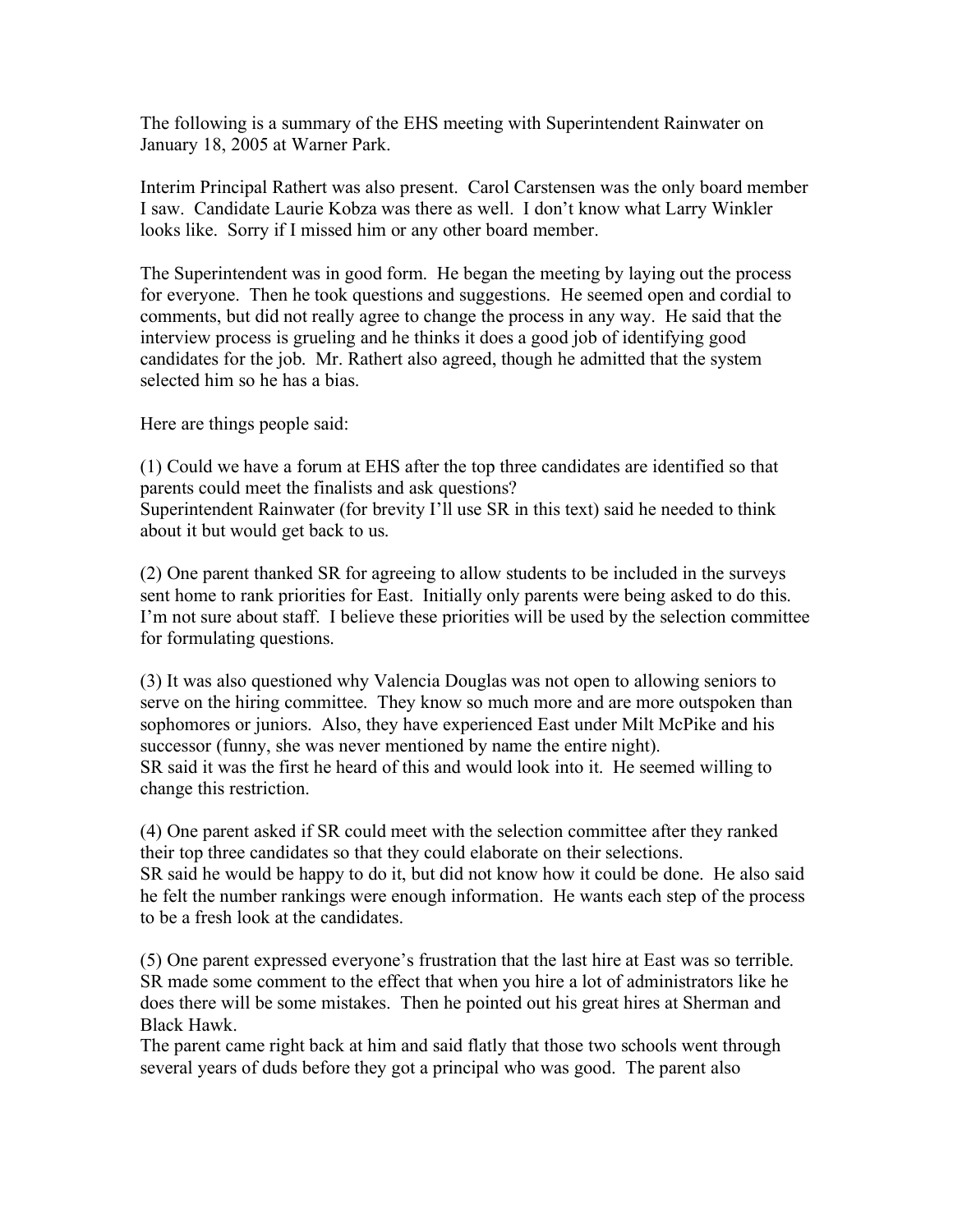The following is a summary of the EHS meeting with Superintendent Rainwater on January 18, 2005 at Warner Park.

Interim Principal Rathert was also present. Carol Carstensen was the only board member I saw. Candidate Laurie Kobza was there as well. I don't know what Larry Winkler looks like. Sorry if I missed him or any other board member.

The Superintendent was in good form. He began the meeting by laying out the process for everyone. Then he took questions and suggestions. He seemed open and cordial to comments, but did not really agree to change the process in any way. He said that the interview process is grueling and he thinks it does a good job of identifying good candidates for the job. Mr. Rathert also agreed, though he admitted that the system selected him so he has a bias.

Here are things people said:

(1) Could we have a forum at EHS after the top three candidates are identified so that parents could meet the finalists and ask questions?

Superintendent Rainwater (for brevity I'll use SR in this text) said he needed to think about it but would get back to us.

(2) One parent thanked SR for agreeing to allow students to be included in the surveys sent home to rank priorities for East. Initially only parents were being asked to do this. I'm not sure about staff. I believe these priorities will be used by the selection committee for formulating questions.

(3) It was also questioned why Valencia Douglas was not open to allowing seniors to serve on the hiring committee. They know so much more and are more outspoken than sophomores or juniors. Also, they have experienced East under Milt McPike and his successor (funny, she was never mentioned by name the entire night). SR said it was the first he heard of this and would look into it. He seemed willing to change this restriction.

(4) One parent asked if SR could meet with the selection committee after they ranked their top three candidates so that they could elaborate on their selections. SR said he would be happy to do it, but did not know how it could be done. He also said he felt the number rankings were enough information. He wants each step of the process to be a fresh look at the candidates.

(5) One parent expressed everyone's frustration that the last hire at East was so terrible. SR made some comment to the effect that when you hire a lot of administrators like he does there will be some mistakes. Then he pointed out his great hires at Sherman and Black Hawk.

The parent came right back at him and said flatly that those two schools went through several years of duds before they got a principal who was good. The parent also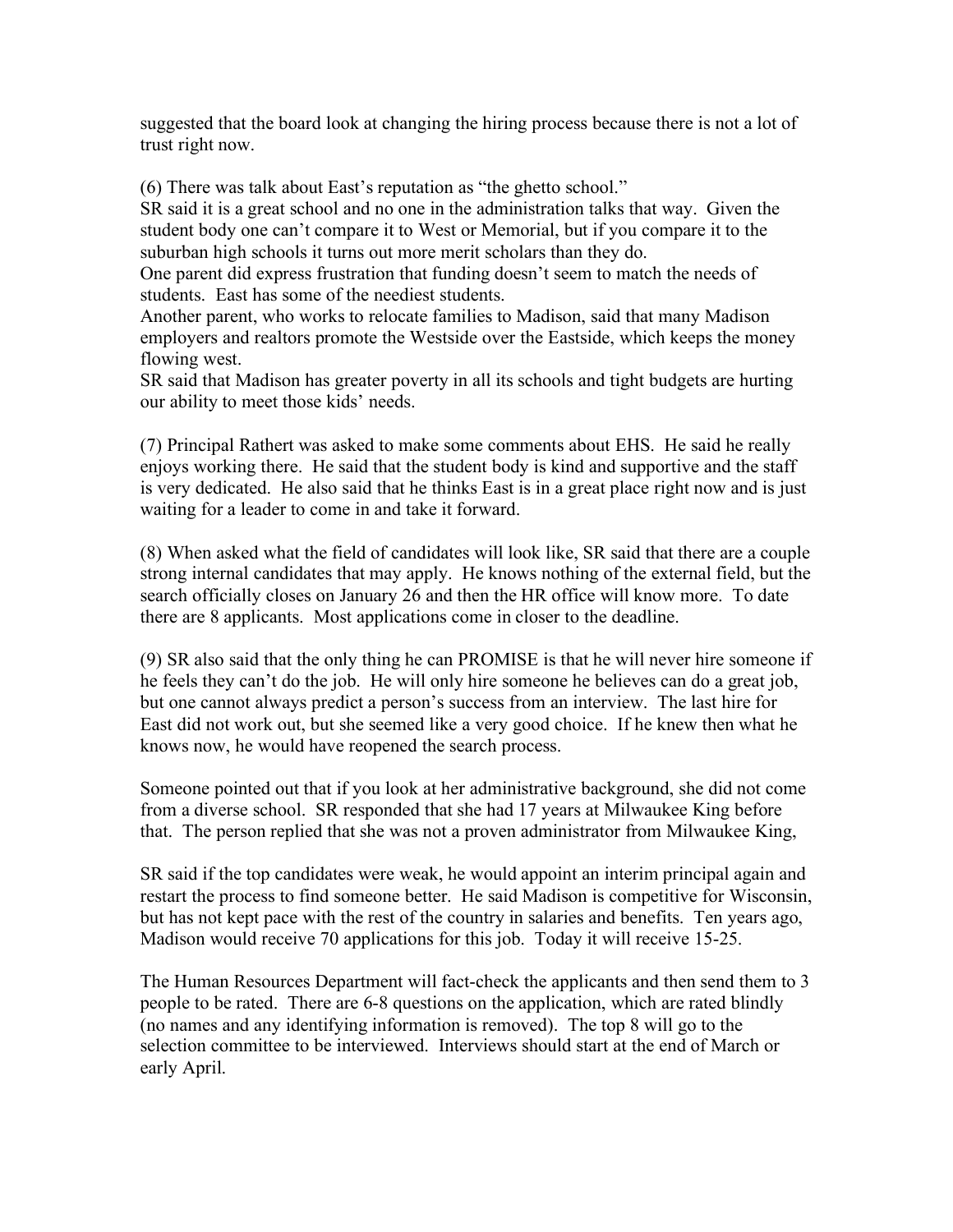suggested that the board look at changing the hiring process because there is not a lot of trust right now.

(6) There was talk about East's reputation as "the ghetto school."

SR said it is a great school and no one in the administration talks that way. Given the student body one can't compare it to West or Memorial, but if you compare it to the suburban high schools it turns out more merit scholars than they do.

One parent did express frustration that funding doesn't seem to match the needs of students. East has some of the neediest students.

Another parent, who works to relocate families to Madison, said that many Madison employers and realtors promote the Westside over the Eastside, which keeps the money flowing west.

SR said that Madison has greater poverty in all its schools and tight budgets are hurting our ability to meet those kids' needs.

(7) Principal Rathert was asked to make some comments about EHS. He said he really enjoys working there. He said that the student body is kind and supportive and the staff is very dedicated. He also said that he thinks East is in a great place right now and is just waiting for a leader to come in and take it forward.

(8) When asked what the field of candidates will look like, SR said that there are a couple strong internal candidates that may apply. He knows nothing of the external field, but the search officially closes on January 26 and then the HR office will know more. To date there are 8 applicants. Most applications come in closer to the deadline.

(9) SR also said that the only thing he can PROMISE is that he will never hire someone if he feels they can't do the job. He will only hire someone he believes can do a great job, but one cannot always predict a person's success from an interview. The last hire for East did not work out, but she seemed like a very good choice. If he knew then what he knows now, he would have reopened the search process.

Someone pointed out that if you look at her administrative background, she did not come from a diverse school. SR responded that she had 17 years at Milwaukee King before that. The person replied that she was not a proven administrator from Milwaukee King,

SR said if the top candidates were weak, he would appoint an interim principal again and restart the process to find someone better. He said Madison is competitive for Wisconsin, but has not kept pace with the rest of the country in salaries and benefits. Ten years ago, Madison would receive 70 applications for this job. Today it will receive 15-25.

The Human Resources Department will fact-check the applicants and then send them to 3 people to be rated. There are 6-8 questions on the application, which are rated blindly (no names and any identifying information is removed). The top 8 will go to the selection committee to be interviewed. Interviews should start at the end of March or early April.